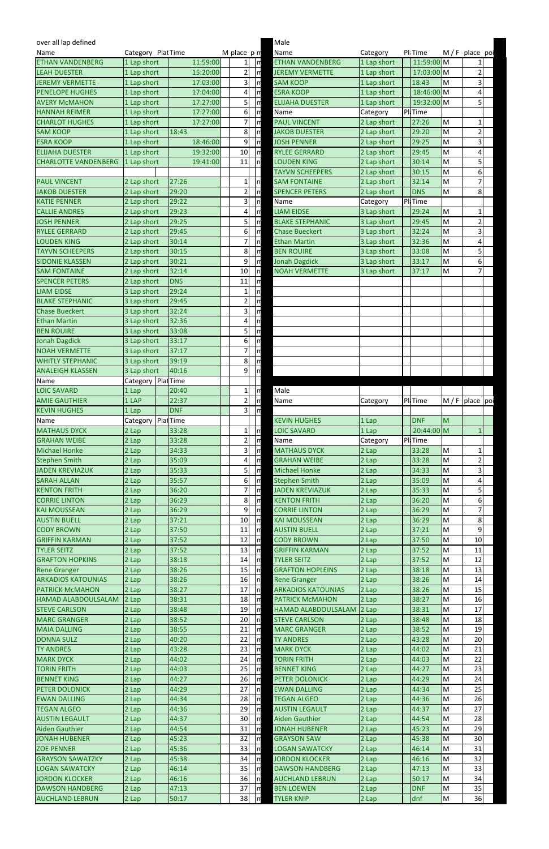| over all lap defined        |                      |            |                         |                               | Male                      |             |                      |   |                 |  |
|-----------------------------|----------------------|------------|-------------------------|-------------------------------|---------------------------|-------------|----------------------|---|-----------------|--|
| Name                        | Category Plat Time   |            | M place $p \nmid n$     |                               | Name                      | Category    | Pl <sub>i</sub> Time |   | M/F place poi   |  |
| <b>ETHAN VANDENBERG</b>     | 1 Lap short          | 11:59:00   | 1 <sup>1</sup>          | $\sqrt{n}$                    | <b>ETHAN VANDENBERG</b>   | 1 Lap short | 11:59:00 M           |   |                 |  |
| <b>LEAH DUESTER</b>         | 1 Lap short          | 15:20:00   | $\overline{2}$          | $\mathsf{I}$                  | <b>JEREMY VERMETTE</b>    | 1 Lap short | 17:03:00 M           |   | $\overline{c}$  |  |
| <b>JEREMY VERMETTE</b>      | 1 Lap short          | 17:03:00   | 3                       | $\mathsf{m}$                  | <b>SAM KOOP</b>           | 1 Lap short | 18:43                | M | 3               |  |
| <b>PENELOPE HUGHES</b>      | 1 Lap short          | 17:04:00   | $\vert$                 | ١m                            | <b>ESRA KOOP</b>          | 1 Lap short | 18:46:00 M           |   | 4               |  |
| <b>AVERY McMAHON</b>        | 1 Lap short          | 17:27:00   | 51                      | ١m                            | <b>ELIJAHA DUESTER</b>    | 1 Lap short | 19:32:00 M           |   | 5               |  |
| <b>HANNAH REIMER</b>        | 1 Lap short          | 17:27:00   | $6 \mid$                | $\ln$                         | Name                      | Category    | Pl. Time             |   |                 |  |
| <b>CHARLOT HUGHES</b>       | 1 Lap short          | 17:27:00   | 7                       | $\mathsf{In}$                 | <b>PAUL VINCENT</b>       | 2 Lap short | 27:26                | M | $\mathbf{1}$    |  |
| <b>SAM KOOP</b>             | 1 Lap short          | 18:43      | 8 <sup>1</sup>          | n                             | <b>JAKOB DUESTER</b>      | 2 Lap short | 29:20                | M | $\overline{2}$  |  |
| <b>ESRA KOOP</b>            | 1 Lap short          | 18:46:00   | 9                       | $\sqrt{m}$                    | <b>JOSH PENNER</b>        | 2 Lap short | 29:25                | M | 3               |  |
| <b>ELIJAHA DUESTER</b>      | 1 Lap short          | 19:32:00   | 10                      | Iη                            | <b>RYLEE GERRARD</b>      | 2 Lap short | 29:45                | M | 4               |  |
| <b>CHARLOTTE VANDENBERG</b> | 1 Lap short          | 19:41:00   | 11                      | In                            | <b>LOUDEN KING</b>        | 2 Lap short | 30:14                | M | 5               |  |
|                             |                      |            |                         |                               | <b>TAYVN SCHEEPERS</b>    | 2 Lap short | 30:15                | M | 6               |  |
| <b>PAUL VINCENT</b>         | 2 Lap short          | 27:26      | 11                      | In                            | <b>SAM FONTAINE</b>       | 2 Lap short | 32:14                | M | 7               |  |
| <b>JAKOB DUESTER</b>        | 2 Lap short          | 29:20      | $\overline{2}$          | m                             | <b>SPENCER PETERS</b>     | 2 Lap short | <b>DNS</b>           | M | 8               |  |
| <b>KATIE PENNER</b>         | 2 Lap short          | 29:22      | 3                       | In                            | Name                      | Category    | Pl. Time             |   |                 |  |
| <b>CALLIE ANDRES</b>        | 2 Lap short          | 29:23      | 4                       | $\mathsf{m}$                  | <b>LIAM EIDSE</b>         | 3 Lap short | 29:24                | M | $\mathbf{1}$    |  |
| <b>JOSH PENNER</b>          | 2 Lap short          | 29:25      | 5                       | $\mathsf{m}$                  | <b>BLAKE STEPHANIC</b>    | 3 Lap short | 29:45                | M | $\overline{2}$  |  |
| <b>RYLEE GERRARD</b>        | 2 Lap short          | 29:45      | $6 \mid$                | n                             | <b>Chase Bueckert</b>     | 3 Lap short | 32:24                | M | 3               |  |
| <b>LOUDEN KING</b>          | 2 Lap short          | 30:14      | $\overline{7}$          | In                            | <b>Ethan Martin</b>       | 3 Lap short | 32:36                | M | 4               |  |
| <b>TAYVN SCHEEPERS</b>      | 2 Lap short          | 30:15      | 8 <sup>1</sup>          | Ιm                            | <b>BEN ROUIRE</b>         | 3 Lap short | 33:08                | M | 5               |  |
| <b>SIDONIE KLASSEN</b>      | 2 Lap short          | 30:21      | 9                       | $\mathsf{I}$                  | <b>Jonah Dagdick</b>      | 3 Lap short | 33:17                | M | 6               |  |
| <b>SAM FONTAINE</b>         | 2 Lap short          | 32:14      | 10                      | $\ln$                         | <b>NOAH VERMETTE</b>      | 3 Lap short | 37:17                | M | $\overline{7}$  |  |
| <b>SPENCER PETERS</b>       | 2 Lap short          | <b>DNS</b> | 11                      | Ιm                            |                           |             |                      |   |                 |  |
| <b>LIAM EIDSE</b>           | 3 Lap short          | 29:24      | $\mathbf{1}$            |                               |                           |             |                      |   |                 |  |
|                             |                      | 29:45      |                         | In<br>$\overline{\mathsf{a}}$ |                           |             |                      |   |                 |  |
| <b>BLAKE STEPHANIC</b>      | 3 Lap short          |            | $\overline{2}$          |                               |                           |             |                      |   |                 |  |
| <b>Chase Bueckert</b>       | 3 Lap short          | 32:24      | 3                       | $\vert$ m                     |                           |             |                      |   |                 |  |
| <b>Ethan Martin</b>         | 3 Lap short          | 32:36      | 4                       | ١'n                           |                           |             |                      |   |                 |  |
| <b>BEN ROUIRE</b>           | 3 Lap short          | 33:08      | 5                       | I۳                            |                           |             |                      |   |                 |  |
| <b>Jonah Dagdick</b>        | 3 Lap short          | 33:17      | $6\vert$                | $\overline{\mathsf{a}}$       |                           |             |                      |   |                 |  |
| <b>NOAH VERMETTE</b>        | 3 Lap short          | 37:17      | $7\overline{)}$         | -lu                           |                           |             |                      |   |                 |  |
| <b>WHITLY STEPHANIC</b>     | 3 Lap short          | 39:19      | 8 <sup>1</sup>          | Im                            |                           |             |                      |   |                 |  |
| <b>ANALEIGH KLASSEN</b>     | 3 Lap short          | 40:16      | 9 <sup>1</sup>          | $\mathsf{I}$                  |                           |             |                      |   |                 |  |
| Name                        | Category PlatTime    |            |                         |                               |                           |             |                      |   |                 |  |
| <b>LOIC SAVARD</b>          | 1 Lap                | 20:40      | $1\vert$                | $\mathsf{m}$                  | Male                      |             |                      |   |                 |  |
| <b>AMIE GAUTHIER</b>        | 1 LAP                | 22:37      | $\overline{2}$          | I۳                            | Name                      | Category    | PliTime              |   | $M/F$ place poi |  |
| <b>KEVIN HUGHES</b>         | 1 Lap                | <b>DNF</b> | 31                      | ١m                            |                           |             |                      |   |                 |  |
| Name                        | Category   Plat Time |            |                         |                               | <b>KEVIN HUGHES</b>       | 1 Lap       | <b>DNF</b>           | M |                 |  |
| <b>MATHAUS DYCK</b>         | 2 Lap                | 33:28      | 1 <sup>1</sup>          | I۳                            | <b>LOIC SAVARD</b>        | 1 Lap       | 20:44:00 M           |   | $\mathbf{1}$    |  |
| <b>GRAHAN WEIBE</b>         | 2 Lap                | 33:28      | 21                      | $\mathsf{m}$                  | Name                      | Category    | Pl. Time             |   |                 |  |
| <b>Michael Honke</b>        | 2 Lap                | 34:33      | $\overline{\mathsf{3}}$ | $\mathsf{m}$                  | <b>MATHAUS DYCK</b>       | 2 Lap       | 33:28                | M | $\mathbf{1}$    |  |
| Stephen Smith               | 2 Lap                | 35:09      | 4                       | n                             | <b>GRAHAN WEIBE</b>       | 2 Lap       | 33:28                | M | $\overline{2}$  |  |
| <b>JADEN KREVIAZUK</b>      | 2 Lap                | 35:33      | 5                       | $\sqrt{m}$                    | <b>Michael Honke</b>      | 2 Lap       | 34:33                | M | 3               |  |
| <b>SARAH ALLAN</b>          | 2 Lap                | 35:57      | 6 <sup>1</sup>          | ١'n                           | <b>Stephen Smith</b>      | 2 Lap       | 35:09                | M | 4               |  |
| <b>KENTON FRITH</b>         | 2 Lap                | 36:20      | 71                      | I۳                            | <b>JADEN KREVIAZUK</b>    | 2 Lap       | 35:33                | M | 5               |  |
| <b>CORRIE LINTON</b>        | 2 Lap                | 36:29      | 8 <sup>1</sup>          | Im                            | <b>KENTON FRITH</b>       | 2 Lap       | 36:20                | M | 6               |  |
| <b>KAI MOUSSEAN</b>         | 2 Lap                | 36:29      | 9                       | n                             | <b>CORRIE LINTON</b>      | 2 Lap       | 36:29                | M | $\overline{7}$  |  |
| <b>AUSTIN BUELL</b>         | 2 Lap                | 37:21      | 10                      | Im                            | <b>KAI MOUSSEAN</b>       | 2 Lap       | 36:29                | M | 8               |  |
| <b>CODY BROWN</b>           | 2 Lap                | 37:50      | 11                      | $\overline{\mathsf{I}}$       | <b>AUSTIN BUELL</b>       | 2 Lap       | 37:21                | M | 9               |  |
| <b>GRIFFIN KARMAN</b>       | 2 Lap                | 37:52      | 12                      | ١m                            | <b>CODY BROWN</b>         | 2 Lap       | 37:50                | M | 10              |  |
| <b>TYLER SEITZ</b>          | 2 Lap                | 37:52      | 13                      | Im                            | <b>GRIFFIN KARMAN</b>     | 2 Lap       | 37:52                | M | 11              |  |
| <b>GRAFTON HOPKINS</b>      | 2 Lap                | 38:18      | 14                      | Ιm                            | <b>TYLER SEITZ</b>        | 2 Lap       | 37:52                | M | 12              |  |
| <b>Rene Granger</b>         | 2 Lap                | 38:26      | 15                      | $\mathsf{m}$                  | <b>GRAFTON HOPLEINS</b>   | 2 Lap       | 38:18                | M | 13              |  |
| <b>ARKADIOS KATOUNIAS</b>   | 2 Lap                | 38:26      | 16                      | $\ln$                         | <b>Rene Granger</b>       | 2 Lap       | 38:26                | M | 14              |  |
| <b>PATRICK McMAHON</b>      | 2 Lap                | 38:27      | 17                      | In                            | <b>ARKADIOS KATOUNIAS</b> | 2 Lap       | 38:26                | M | 15              |  |
| HAMAD ALABDOULSALAM         | 2 Lap                | 38:31      | 18                      | Im                            | <b>PATRICK McMAHON</b>    | 2 Lap       | 38:27                | M | 16              |  |
| <b>STEVE CARLSON</b>        | 2 Lap                | 38:48      | 19                      | Ιm                            | HAMAD ALABDOULSALAM       | 2 Lap       | 38:31                | M | 17              |  |
| <b>MARC GRANGER</b>         | 2 Lap                | 38:52      | 20                      | $\ln$                         | <b>STEVE CARLSON</b>      | 2 Lap       | 38:48                | M | 18              |  |
| <b>MAIA DALLING</b>         | 2 Lap                | 38:55      | 21                      | $\mathsf{m}$                  | <b>MARC GRANGER</b>       | 2 Lap       | 38:52                | M | 19              |  |
| <b>DONNA SULZ</b>           | 2 Lap                | 40:20      | 22                      | I۳                            | <b>TY ANDRES</b>          | 2 Lap       | 43:28                | M | 20              |  |
| <b>TY ANDRES</b>            | 2 Lap                | 43:28      | 23                      | I۳                            | <b>MARK DYCK</b>          | 2 Lap       | 44:02                | M | 21              |  |
| <b>MARK DYCK</b>            | 2 Lap                | 44:02      | 24                      | $\ln$                         | <b>TORIN FRITH</b>        | 2 Lap       | 44:03                | M | 22              |  |
|                             |                      | 44:03      | 25                      | $\ln$                         |                           |             | 44:27                |   | 23              |  |
| <b>TORIN FRITH</b>          | 2 Lap                |            |                         |                               | <b>BENNET KING</b>        | 2 Lap       | 44:29                | M |                 |  |
| <b>BENNET KING</b>          | 2 Lap                | 44:27      | $26$ $\ln$              |                               | PETER DOLONICK            | 2 Lap       |                      | М | 24              |  |
| PETER DOLONICK              | 2 Lap                | 44:29      | 27                      | <b>In</b>                     | <b>EWAN DALLING</b>       | 2 Lap       | 44:34                | M | 25              |  |
| <b>EWAN DALLING</b>         | 2 Lap                | 44:34      | 28                      | $\mathsf{Im}$                 | <b>TEGAN ALGEO</b>        | 2 Lap       | 44:36                | M | 26              |  |
| <b>TEGAN ALGEO</b>          | 2 Lap                | 44:36      | 29                      | $\mathsf{Im}$                 | <b>AUSTIN LEGAULT</b>     | 2 Lap       | 44:37                | M | 27              |  |
| <b>AUSTIN LEGAULT</b>       | 2 Lap                | 44:37      | 30 <sup>1</sup>         | $\mathsf{Im}$                 | <b>Aiden Gauthier</b>     | 2 Lap       | 44:54                | M | 28              |  |
| Aiden Gauthier              | 2 Lap                | 44:54      | 31                      | $\ln$                         | <b>JONAH HUBENER</b>      | 2 Lap       | 45:23                | М | 29              |  |
| JONAH HUBENER               | 2 Lap                | 45:23      | 32                      | Im                            | <b>GRAYSON SAW</b>        | 2 Lap       | 45:38                | M | 30              |  |
| <b>ZOE PENNER</b>           | 2 Lap                | 45:36      | 33                      | $\mathsf{Im}$                 | <b>LOGAN SAWATCKY</b>     | 2 Lap       | 46:14                | M | 31              |  |
| <b>GRAYSON SAWATZKY</b>     | 2 Lap                | 45:38      | 34                      | $\ln$                         | <b>JORDON KLOCKER</b>     | 2 Lap       | 46:16                | M | 32              |  |
| <b>LOGAN SAWATCKY</b>       | 2 Lap                | 46:14      | 35                      | $\mathsf{Im}$                 | <b>DAWSON HANDBERG</b>    | 2 Lap       | 47:13                | M | 33              |  |
| <b>JORDON KLOCKER</b>       | 2 Lap                | 46:16      | 36                      | $\ln$                         | <b>AUCHLAND LEBRUN</b>    | 2 Lap       | 50:17                | М | 34              |  |
| <b>DAWSON HANDBERG</b>      | 2 Lap                | 47:13      | 37                      | $\mathsf{Im}$                 | <b>BEN LOEWEN</b>         | 2 Lap       | <b>DNF</b>           | M | 35              |  |
|                             |                      |            |                         |                               |                           |             |                      |   |                 |  |
| <b>AUCHLAND LEBRUN</b>      | 2 Lap                | 50:17      | 38                      | $\mathsf{Im}$                 | <b>TYLER KNIP</b>         | 2 Lap       | dnf                  | M | 36              |  |

| over all lap defined                             |                    |                |                         |                              | Male                                   |                |                   |                                                                                       |                                                                |
|--------------------------------------------------|--------------------|----------------|-------------------------|------------------------------|----------------------------------------|----------------|-------------------|---------------------------------------------------------------------------------------|----------------------------------------------------------------|
| Name                                             | Category Plat Time |                | M place p m             |                              | Name                                   | Category       | Pli Time          | M/F                                                                                   | place                                                          |
| <b>ETHAN VANDENBERG</b>                          | 1 Lap short        | 11:59:00       | $1\vert$                | $\lfloor n \rfloor$          | <b>ETHAN VANDENBERG</b>                | 1 Lap short    | 11:59:00 M        |                                                                                       | 1                                                              |
| <b>LEAH DUESTER</b>                              | 1 Lap short        | 15:20:00       | $\overline{2}$          | I۳                           | <b>JEREMY VERMETTE</b>                 | 1 Lap short    | 17:03:00 M        |                                                                                       | $\overline{c}$                                                 |
| <b>JEREMY VERMETTE</b>                           | 1 Lap short        | 17:03:00       | $\overline{3}$          | $\overline{\mathsf{m}}$      | <b>SAM KOOP</b>                        | 1 Lap short    | 18:43             | M                                                                                     | 3                                                              |
| <b>PENELOPE HUGHES</b>                           | 1 Lap short        | 17:04:00       | 4                       | Im                           | <b>ESRA KOOP</b>                       | 1 Lap short    | 18:46:00 M        |                                                                                       | 4                                                              |
| <b>AVERY McMAHON</b>                             | 1 Lap short        | 17:27:00       | 5 <sup>1</sup>          | $\overline{\mathsf{I}}$      | <b>ELIJAHA DUESTER</b>                 | 1 Lap short    | 19:32:00 M        |                                                                                       | 5                                                              |
| <b>HANNAH REIMER</b>                             | 1 Lap short        | 17:27:00       | $6 \mid$                | $\overline{m}$               | Name                                   | Category       | PliTime           |                                                                                       |                                                                |
| <b>CHARLOT HUGHES</b>                            | 1 Lap short        | 17:27:00       | 7                       | n                            | <b>PAUL VINCENT</b>                    | 2 Lap short    | 27:26             | M                                                                                     | $\mathbf 1$                                                    |
| <b>SAM KOOP</b>                                  | 1 Lap short        | 18:43          | 8                       | n                            | <b>JAKOB DUESTER</b>                   | 2 Lap short    | 29:20             | M                                                                                     | $\overline{\mathbf{c}}$                                        |
| <b>ESRA KOOP</b>                                 | 1 Lap short        | 18:46:00       | 9                       | n                            | <b>JOSH PENNER</b>                     | 2 Lap short    | 29:25             | M                                                                                     | 3                                                              |
| <b>ELIJAHA DUESTER</b>                           | 1 Lap short        | 19:32:00       | 10                      | n                            | <b>RYLEE GERRARD</b>                   | 2 Lap short    | 29:45             | M                                                                                     | 4                                                              |
| <b>CHARLOTTE VANDENBERG</b>                      | 1 Lap short        | 19:41:00       | 11                      | $\overline{\mathsf{h}}$      | <b>LOUDEN KING</b>                     | 2 Lap short    | 30:14             | M                                                                                     | 5                                                              |
|                                                  |                    |                |                         |                              | <b>TAYVN SCHEEPERS</b>                 | 2 Lap short    | 30:15             | M                                                                                     | 6                                                              |
| <b>PAUL VINCENT</b>                              | 2 Lap short        | 27:26          | 1 <sub>1</sub>          | n                            | <b>SAM FONTAINE</b>                    | 2 Lap short    | 32:14             | M                                                                                     | 7                                                              |
| <b>JAKOB DUESTER</b>                             | 2 Lap short        | 29:20          | 2                       | $\overline{r}$               | <b>SPENCER PETERS</b>                  | 2 Lap short    | <b>DNS</b>        | M                                                                                     | 8                                                              |
| <b>KATIE PENNER</b>                              | 2 Lap short        | 29:22          | $\overline{\mathbf{3}}$ | $\overline{\phantom{a}}$     | Name                                   | Category       | PliTime           |                                                                                       |                                                                |
| <b>CALLIE ANDRES</b>                             | 2 Lap short        | 29:23          | 4                       | $\overline{r}$               | <b>LIAM EIDSE</b>                      | 3 Lap short    | 29:24             | M                                                                                     | $\mathbf{1}$                                                   |
| <b>JOSH PENNER</b>                               | 2 Lap short        | 29:25          | 5 <sup>1</sup>          | n                            | <b>BLAKE STEPHANIC</b>                 | 3 Lap short    | 29:45             | M                                                                                     | $\overline{2}$                                                 |
| <b>RYLEE GERRARD</b>                             | 2 Lap short        | 29:45          | 6                       | I۳                           | <b>Chase Bueckert</b>                  | 3 Lap short    | 32:24             | M                                                                                     | 3                                                              |
| <b>LOUDEN KING</b>                               | 2 Lap short        | 30:14          | 7                       | $\overline{\mathsf{n}}$      | <b>Ethan Martin</b>                    | 3 Lap short    | 32:36             | M                                                                                     | 4                                                              |
| <b>TAYVN SCHEEPERS</b>                           | 2 Lap short        | 30:15          | 8                       | $\overline{\mathsf{a}}$      | <b>BEN ROUIRE</b>                      | 3 Lap short    | 33:08             | M                                                                                     | 5                                                              |
| <b>SIDONIE KLASSEN</b>                           | 2 Lap short        | 30:21          | 9                       | $\overline{m}$               | <b>Jonah Dagdick</b>                   | 3 Lap short    | 33:17             | M                                                                                     | 6                                                              |
| <b>SAM FONTAINE</b>                              | 2 Lap short        | 32:14          | 10                      | $\lfloor n \rfloor$          | <b>NOAH VERMETTE</b>                   | 3 Lap short    | 37:17             | M                                                                                     | 7                                                              |
| <b>SPENCER PETERS</b>                            | 2 Lap short        | <b>DNS</b>     | 11                      | n                            |                                        |                |                   |                                                                                       |                                                                |
| <b>LIAM EIDSE</b>                                | 3 Lap short        | 29:24          | 1                       | $\overline{\mathsf{h}}$      |                                        |                |                   |                                                                                       |                                                                |
| <b>BLAKE STEPHANIC</b>                           | 3 Lap short        | 29:45          | $\overline{2}$          | $\sqrt{n}$                   |                                        |                |                   |                                                                                       |                                                                |
| <b>Chase Bueckert</b>                            | 3 Lap short        | 32:24          | $\overline{3}$          | ╔                            |                                        |                |                   |                                                                                       |                                                                |
| <b>Ethan Martin</b>                              | 3 Lap short        | 32:36          | $\overline{a}$          | $\frac{1}{n}$                |                                        |                |                   |                                                                                       |                                                                |
| <b>BEN ROUIRE</b>                                | 3 Lap short        | 33:08          | 5 <sup>1</sup>          |                              |                                        |                |                   |                                                                                       |                                                                |
| <b>Jonah Dagdick</b>                             | 3 Lap short        | 33:17          | $6\vert$                | $\sqrt{n}$                   |                                        |                |                   |                                                                                       |                                                                |
| <b>NOAH VERMETTE</b>                             | 3 Lap short        | 37:17          | 71                      | ١m                           |                                        |                |                   |                                                                                       |                                                                |
| <b>WHITLY STEPHANIC</b>                          | 3 Lap short        | 39:19          | 8 <sup>1</sup>          | $\overline{\mathsf{In}}$     |                                        |                |                   |                                                                                       |                                                                |
| <b>ANALEIGH KLASSEN</b>                          | 3 Lap short        | 40:16          | 9                       | $\overline{\mathsf{h}}$      |                                        |                |                   |                                                                                       |                                                                |
| Name                                             | Category PlatTime  |                |                         |                              |                                        |                |                   |                                                                                       |                                                                |
| <b>LOIC SAVARD</b>                               | 1 Lap              | 20:40          | $\mathbf{1}$            | n                            | Male                                   |                |                   |                                                                                       |                                                                |
| <b>AMIE GAUTHIER</b>                             | 1 LAP              | 22:37          | 2                       | n                            | Name                                   | Category       | PliTime           | M/F                                                                                   | place                                                          |
| <b>KEVIN HUGHES</b>                              | 1 Lap              | <b>DNF</b>     | $\overline{3}$          | I۳                           |                                        |                |                   |                                                                                       |                                                                |
| Name                                             | Category           | PlatTime       |                         |                              | <b>KEVIN HUGHES</b>                    | 1 Lap          | <b>DNF</b>        | M                                                                                     |                                                                |
| <b>MATHAUS DYCK</b>                              | 2 Lap              | 33:28          | 1                       | n                            | <b>LOIC SAVARD</b>                     | 1 Lap          | 20:44:00 M        |                                                                                       | $\mathbf{1}$                                                   |
| <b>GRAHAN WEIBE</b>                              | 2 Lap              | 33:28          | $\overline{2}$          | n                            | Name                                   | Category       | PliTime           |                                                                                       |                                                                |
| <b>Michael Honke</b>                             | 2 Lap              | 34:33          | $\overline{3}$          | n                            | <b>MATHAUS DYCK</b>                    | 2 Lap          | 33:28             | M                                                                                     | 1                                                              |
| <b>Stephen Smith</b>                             | 2 Lap              | 35:09          | 4                       | n                            | <b>GRAHAN WEIBE</b>                    | 2 Lap          | 33:28             | M                                                                                     | $\overline{2}$                                                 |
| <b>JADEN KREVIAZUK</b>                           | 2 Lap              | 35:33          | 5 <sup>1</sup>          | $\overline{r}$               | <b>Michael Honke</b>                   | 2 Lap          | 34:33             | M                                                                                     | 3                                                              |
| <b>SARAH ALLAN</b>                               | 2 Lap              | 35:57          | 6                       | n                            | <b>Stephen Smith</b>                   | 2 Lap          | 35:09             | M                                                                                     | 4                                                              |
| <b>KENTON FRITH</b>                              | 2 Lap              | 36:20          | $\overline{7}$          | n                            | <b>JADEN KREVIAZUK</b>                 | 2 Lap          | 35:33             | M                                                                                     | 5                                                              |
| <b>CORRIE LINTON</b>                             | 2 Lap              | 36:29          | 8                       | Im                           | <b>KENTON FRITH</b>                    | 2 Lap          | 36:20             | M                                                                                     | 6                                                              |
| <b>KAI MOUSSEAN</b>                              | 2 Lap              | 36:29          | 9                       | $\overline{m}$               | <b>CORRIE LINTON</b>                   | 2 Lap          | 36:29             | $\mathsf{M}% _{T}=\mathsf{M}_{T}\!\left( a,b\right) ,\ \mathsf{M}_{T}=\mathsf{M}_{T}$ | 7                                                              |
| <b>AUSTIN BUELL</b>                              | 2 Lap              | 37:21          | 10                      | $\overline{m}$               | <b>KAI MOUSSEAN</b>                    | 2 Lap          | 36:29             | M                                                                                     | 8                                                              |
| <b>CODY BROWN</b>                                | 2 Lap              | 37:50          | 11                      | n                            | <b>AUSTIN BUELL</b>                    | 2 Lap          | 37:21             | M                                                                                     | 9                                                              |
| <b>GRIFFIN KARMAN</b>                            | 2 Lap              | 37:52          |                         |                              |                                        |                |                   |                                                                                       | 10                                                             |
| <b>TYLER SEITZ</b>                               |                    |                | 12                      | n                            | <b>CODY BROWN</b>                      | 2 Lap          | 37:50             | M                                                                                     |                                                                |
| <b>GRAFTON HOPKINS</b>                           | 2 Lap              | 37:52          | 13                      | n                            | <b>GRIFFIN KARMAN</b>                  | 2 Lap          | 37:52             | M                                                                                     |                                                                |
|                                                  | 2 Lap              | 38:18          | 14                      | n                            | <b>TYLER SEITZ</b>                     | 2 Lap          | 37:52             | M                                                                                     |                                                                |
| <b>Rene Granger</b>                              | 2 Lap              | 38:26          | 15                      | $\overline{\mathsf{r}}$      | <b>GRAFTON HOPLEINS</b>                | 2 Lap          | 38:18             | M                                                                                     |                                                                |
| <b>ARKADIOS KATOUNIAS</b>                        | 2 Lap              | 38:26          | 16                      | n                            | <b>Rene Granger</b>                    | 2 Lap          | 38:26             | M                                                                                     |                                                                |
| <b>PATRICK McMAHON</b>                           | 2 Lap              | 38:27          | 17                      | n                            | <b>ARKADIOS KATOUNIAS</b>              | 2 Lap          | 38:26             | M                                                                                     |                                                                |
| <b>HAMAD ALABDOULSALAM</b>                       | 2 Lap              | 38:31          | 18                      | n                            | <b>PATRICK McMAHON</b>                 | 2 Lap          | 38:27             | M                                                                                     |                                                                |
| <b>STEVE CARLSON</b>                             | 2 Lap              | 38:48          | 19                      | n                            | HAMAD ALABDOULSALAM                    | 2 Lap          | 38:31             | M                                                                                     |                                                                |
| <b>MARC GRANGER</b>                              | 2 Lap              | 38:52          | 20                      | $\overline{\phantom{a}}$     | <b>STEVE CARLSON</b>                   | 2 Lap          | 38:48             | M                                                                                     |                                                                |
| <b>MAIA DALLING</b>                              | 2 Lap              | 38:55          | 21                      | n                            | <b>MARC GRANGER</b>                    | 2 Lap          | 38:52             | M                                                                                     |                                                                |
| <b>DONNA SULZ</b>                                | 2 Lap              | 40:20          | 22                      | Im                           | <b>TY ANDRES</b>                       | 2 Lap          | 43:28             | M                                                                                     |                                                                |
| <b>TY ANDRES</b>                                 | 2 Lap              | 43:28          | 23                      | $\overline{m}$               | <b>MARK DYCK</b>                       | 2 Lap          | 44:02             | M                                                                                     | 11<br>12<br>13<br>14<br>15<br>16<br>17<br>18<br>19<br>20<br>21 |
| <b>MARK DYCK</b>                                 | $2$ Lap            | 44:02          | 24                      | $\overline{\mathsf{I}}$      | <b>TORIN FRITH</b>                     | $2$ Lap        | 44:03             | M                                                                                     |                                                                |
| <b>TORIN FRITH</b>                               | 2 Lap              | 44:03          | 25                      | $\ln$                        | <b>BENNET KING</b>                     | 2 Lap          | 44:27             | M                                                                                     | 22<br>23                                                       |
| <b>BENNET KING</b>                               | 2 Lap              | 44:27          | 26                      | $\mathsf{Im}$                | PETER DOLONICK                         | 2 Lap          | 44:29             | M                                                                                     | 24                                                             |
| <b>PETER DOLONICK</b>                            | 2 Lap              | 44:29          | 27                      | In                           | <b>EWAN DALLING</b>                    | 2 Lap          | 44:34             | M                                                                                     | 25                                                             |
| <b>EWAN DALLING</b>                              | 2 Lap              | 44:34          | 28                      | $\overline{\mathsf{r}}$      | <b>TEGAN ALGEO</b>                     | 2 Lap          | 44:36             | M                                                                                     |                                                                |
| <b>TEGAN ALGEO</b>                               | 2 Lap              | 44:36          | 29                      | $\mathsf{Im}$                | <b>AUSTIN LEGAULT</b>                  | 2 Lap          | 44:37             | M                                                                                     | 26<br>27                                                       |
| <b>AUSTIN LEGAULT</b>                            | 2 Lap              | 44:37          | 30                      | $\mathsf{I}$                 | <b>Aiden Gauthier</b>                  | 2 Lap          | 44:54             | M                                                                                     |                                                                |
| <b>Aiden Gauthier</b>                            | 2 Lap              | 44:54          | 31                      | $\lfloor m \rfloor$          | <b>JONAH HUBENER</b>                   | 2 Lap          | 45:23             | M                                                                                     |                                                                |
| <b>JONAH HUBENER</b>                             | 2 Lap              | 45:23          | 32                      | $\ln$                        | <b>GRAYSON SAW</b>                     | 2 Lap          | 45:38             | M                                                                                     | 28<br>29<br>30                                                 |
| <b>ZOE PENNER</b>                                | 2 Lap              | 45:36          | 33                      | $\overline{\mathsf{I}}$      | <b>LOGAN SAWATCKY</b>                  | 2 Lap          | 46:14             | M                                                                                     |                                                                |
| <b>GRAYSON SAWATZKY</b>                          | 2 Lap              | 45:38          | 34                      | $\mathsf{Im}$                | <b>JORDON KLOCKER</b>                  | 2 Lap          | 46:16             | M                                                                                     | 31<br>32                                                       |
| <b>LOGAN SAWATCKY</b>                            | 2 Lap              | 46:14          | 35                      | $\ln$                        | <b>DAWSON HANDBERG</b>                 | 2 Lap          | 47:13             | M                                                                                     | 33                                                             |
| <b>JORDON KLOCKER</b>                            | 2 Lap              | 46:16          | 36                      | $\lfloor n \rfloor$          | <b>AUCHLAND LEBRUN</b>                 | 2 Lap          | 50:17             | M                                                                                     | 34                                                             |
| <b>DAWSON HANDBERG</b><br><b>AUCHLAND LEBRUN</b> | 2 Lap<br>2 Lap     | 47:13<br>50:17 | 37<br>38                | $\mathsf{I}$<br>$\mathsf{m}$ | <b>BEN LOEWEN</b><br><b>TYLER KNIP</b> | 2 Lap<br>2 Lap | <b>DNF</b><br>dnf | M<br>M                                                                                | 35<br>36                                                       |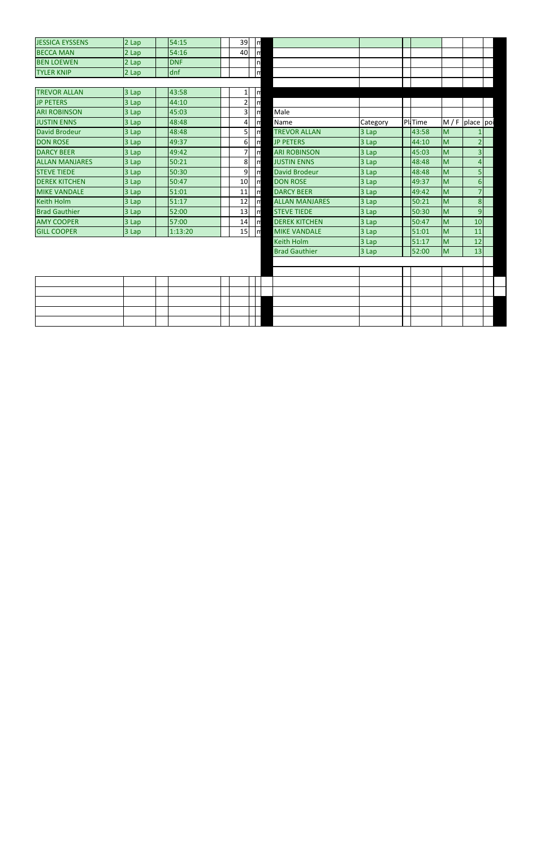| <b>JESSICA EYSSENS</b> | 2 Lap | 154:15      | 39 I | m |
|------------------------|-------|-------------|------|---|
| <b>BECCA MAN</b>       | 2 Lap | 154:16      | 40   | m |
| <b>BEN LOEWEN</b>      | 2 Lap | <b>IDNF</b> |      | n |
| <b>TYLER KNIP</b>      | 2 Lap | ldnf        |      | m |

| <b>TREVOR ALLAN</b>   | 3 Lap | 43:58   |    | $\lfloor r \rfloor$ |                       |          |                |               |    |
|-----------------------|-------|---------|----|---------------------|-----------------------|----------|----------------|---------------|----|
| <b>JP PETERS</b>      | 3 Lap | 44:10   | 21 | $\lfloor m \rfloor$ |                       |          |                |               |    |
| <b>ARI ROBINSON</b>   | 3 Lap | 45:03   | 31 | Im                  | Male                  |          |                |               |    |
| <b>JUSTIN ENNS</b>    | 3 Lap | 48:48   | 41 | Im                  | Name                  | Category | <b>PI</b> Time | $M / F$ place |    |
| David Brodeur         | 3 Lap | 48:48   | 51 | $\mathsf{Im}$       | <b>TREVOR ALLAN</b>   | 3 Lap    | 43:58          | M             | 1  |
| <b>DON ROSE</b>       | 3 Lap | 49:37   | 61 | Im                  | <b>JP PETERS</b>      | 3 Lap    | 44:10          | M             |    |
| <b>DARCY BEER</b>     | 3 Lap | 49:42   |    | Im                  | <b>ARI ROBINSON</b>   | 3 Lap    | 45:03          | M             | 3  |
| <b>ALLAN MANJARES</b> | 3 Lap | 50:21   | 8  | Im                  | <b>JUSTIN ENNS</b>    | 3 Lap    | 48:48          | M             | 4  |
| <b>STEVE TIEDE</b>    | 3 Lap | 50:30   | 9  | Im                  | <b>David Brodeur</b>  | 3 Lap    | 48:48          | M             | 5  |
| <b>DEREK KITCHEN</b>  | 3 Lap | 50:47   | 10 | Im                  | <b>DON ROSE</b>       | 3 Lap    | 49:37          | M             | 6  |
| <b>MIKE VANDALE</b>   | 3 Lap | 51:01   | 11 | Ιm                  | <b>DARCY BEER</b>     | 3 Lap    | 49:42          | M             | 7  |
| Keith Holm            | 3 Lap | 51:17   | 12 | Im                  | <b>ALLAN MANJARES</b> | 3 Lap    | 50:21          | IM.           | 8  |
| <b>Brad Gauthier</b>  | 3 Lap | 52:00   | 13 | Im                  | <b>STEVE TIEDE</b>    | 3 Lap    | 50:30          | M             | 9  |
| <b>AMY COOPER</b>     | 3 Lap | 57:00   | 14 | $\mathsf{Im}$       | <b>DEREK KITCHEN</b>  | 3 Lap    | 50:47          | IM            | 10 |
| <b>GILL COOPER</b>    | 3 Lap | 1:13:20 | 15 | Im                  | <b>MIKE VANDALE</b>   | 3 Lap    | 51:01          | IM            | 11 |

| <b>DECCITION</b>      | ∠ ∟uµ | J+.±v      | ་◡ ៲            |                         |                       |          |          |   |                   |  |
|-----------------------|-------|------------|-----------------|-------------------------|-----------------------|----------|----------|---|-------------------|--|
| <b>BEN LOEWEN</b>     | 2 Lap | <b>DNF</b> |                 | $\ln$                   |                       |          |          |   |                   |  |
| <b>TYLER KNIP</b>     | 2 Lap | dnf        |                 | n                       |                       |          |          |   |                   |  |
|                       |       |            |                 |                         |                       |          |          |   |                   |  |
| <b>TREVOR ALLAN</b>   | 3 Lap | 43:58      | $1\vert$        | $\ln$                   |                       |          |          |   |                   |  |
| <b>JP PETERS</b>      | 3 Lap | 44:10      | $\overline{2}$  | $\overline{\mathsf{m}}$ |                       |          |          |   |                   |  |
| <b>ARI ROBINSON</b>   | 3 Lap | 45:03      | 3 <sup>1</sup>  | $\mathsf{I}$            | Male                  |          |          |   |                   |  |
| <b>JUSTIN ENNS</b>    | 3 Lap | 48:48      | 4               | $\mathsf{I}$            | Name                  | Category | Pl. Time |   | $M / F$ place poi |  |
| <b>David Brodeur</b>  | 3 Lap | 48:48      | 5 <sup>1</sup>  | $\ln$                   | <b>TREVOR ALLAN</b>   | 3 Lap    | 43:58    | M |                   |  |
| <b>DON ROSE</b>       | 3 Lap | 49:37      | 6 <sup>1</sup>  | $\mathsf{I}$            | <b>JP PETERS</b>      | 3 Lap    | 44:10    | M | $\overline{2}$    |  |
| <b>DARCY BEER</b>     | 3 Lap | 49:42      | 7               | $\mathsf{I}$            | <b>ARI ROBINSON</b>   | 3 Lap    | 45:03    | M | $\overline{3}$    |  |
| <b>ALLAN MANJARES</b> | 3 Lap | 50:21      | 8 <sup>1</sup>  | $\ln$                   | <b>JUSTIN ENNS</b>    | 3 Lap    | 48:48    | M | $\overline{4}$    |  |
| <b>STEVE TIEDE</b>    | 3 Lap | 50:30      | 9 <sup>1</sup>  | $\ln$                   | <b>David Brodeur</b>  | 3 Lap    | 48:48    | M | 5                 |  |
| <b>DEREK KITCHEN</b>  | 3 Lap | 50:47      | 10 <sup>1</sup> | $\ln$                   | <b>DON ROSE</b>       | 3 Lap    | 49:37    | M | $6 \overline{6}$  |  |
| <b>MIKE VANDALE</b>   | 3 Lap | 51:01      | 11              | $\ln$                   | <b>DARCY BEER</b>     | 3 Lap    | 49:42    | M | $\overline{7}$    |  |
| Keith Holm            | 3 Lap | 51:17      | 12              | $\mathsf{m}$            | <b>ALLAN MANJARES</b> | 3 Lap    | 50:21    | M | 8                 |  |
| <b>Brad Gauthier</b>  | 3 Lap | 52:00      | 13              | $\mathsf{Im}$           | <b>STEVE TIEDE</b>    | 3 Lap    | 50:30    | M | 9                 |  |
| <b>AMY COOPER</b>     | 3 Lap | 57:00      | 14              | $\mathsf{m}$            | <b>DEREK KITCHEN</b>  | 3 Lap    | 50:47    | M | 10                |  |
| <b>GILL COOPER</b>    | 3 Lap | 1:13:20    | 15              | $\sqrt{n}$              | <b>MIKE VANDALE</b>   | 3 Lap    | 51:01    | M | 11                |  |
|                       |       |            |                 |                         | <b>Keith Holm</b>     | 3 Lap    | 51:17    | M | 12                |  |
|                       |       |            |                 |                         | <b>Brad Gauthier</b>  | 3 Lap    | 52:00    | M | 13                |  |
|                       |       |            |                 |                         |                       |          |          |   |                   |  |
|                       |       |            |                 |                         |                       |          |          |   |                   |  |
|                       |       |            |                 |                         |                       |          |          |   |                   |  |
|                       |       |            |                 |                         |                       |          |          |   |                   |  |
|                       |       |            |                 |                         |                       |          |          |   |                   |  |
|                       |       |            |                 |                         |                       |          |          |   |                   |  |
|                       |       |            |                 |                         |                       |          |          |   |                   |  |
|                       |       |            |                 |                         |                       |          |          |   |                   |  |

 $\mathbf{I}$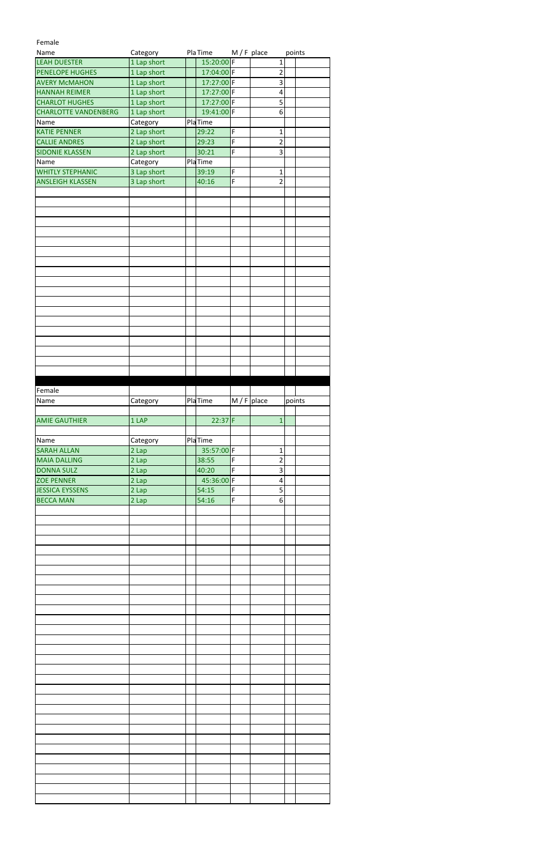## Female

| Name                        | Category    | Pla Time       |                | $M / F$ place           | points |  |
|-----------------------------|-------------|----------------|----------------|-------------------------|--------|--|
| <b>LEAH DUESTER</b>         | 1 Lap short | 15:20:00 F     |                | $\mathbf 1$             |        |  |
| PENELOPE HUGHES             | 1 Lap short | 17:04:00 F     |                | $\overline{2}$          |        |  |
| <b>AVERY McMAHON</b>        | 1 Lap short | 17:27:00 F     |                | 3                       |        |  |
| <b>HANNAH REIMER</b>        | 1 Lap short | 17:27:00 F     |                | $\overline{\mathbf{4}}$ |        |  |
| <b>CHARLOT HUGHES</b>       | 1 Lap short | 17:27:00 F     |                | 5                       |        |  |
| <b>CHARLOTTE VANDENBERG</b> | 1 Lap short | 19:41:00 F     |                | $\boldsymbol{6}$        |        |  |
| Name                        | Category    | <b>PlaTime</b> |                |                         |        |  |
| <b>KATIE PENNER</b>         | 2 Lap short | 29:22          | F              | $\overline{1}$          |        |  |
| <b>CALLIE ANDRES</b>        | 2 Lap short | 29:23          | $\overline{F}$ | $\overline{2}$          |        |  |
| <b>SIDONIE KLASSEN</b>      | 2 Lap short | 30:21          | $\overline{F}$ | 3                       |        |  |
| Name                        | Category    | PlaTime        |                |                         |        |  |
| <b>WHITLY STEPHANIC</b>     | 3 Lap short | 39:19          | $\overline{F}$ | $\mathbf{1}$            |        |  |
| <b>ANSLEIGH KLASSEN</b>     | 3 Lap short | 40:16          | F              | $\overline{2}$          |        |  |
|                             |             |                |                |                         |        |  |
|                             |             |                |                |                         |        |  |
|                             |             |                |                |                         |        |  |
|                             |             |                |                |                         |        |  |
|                             |             |                |                |                         |        |  |
|                             |             |                |                |                         |        |  |
|                             |             |                |                |                         |        |  |
|                             |             |                |                |                         |        |  |
|                             |             |                |                |                         |        |  |
|                             |             |                |                |                         |        |  |
|                             |             |                |                |                         |        |  |
|                             |             |                |                |                         |        |  |
|                             |             |                |                |                         |        |  |
|                             |             |                |                |                         |        |  |
|                             |             |                |                |                         |        |  |
|                             |             |                |                |                         |        |  |
|                             |             |                |                |                         |        |  |
|                             |             |                |                |                         |        |  |
|                             |             |                |                |                         |        |  |
|                             |             |                |                |                         |        |  |
|                             |             |                |                |                         |        |  |
| Female                      |             |                |                |                         |        |  |
| Name                        | Category    | <b>PlaTime</b> | $M / F$ place  |                         | points |  |
|                             |             |                |                |                         |        |  |
|                             |             |                |                |                         |        |  |
| <b>AMIE GAUTHIER</b>        | 1 LAP       | $22:37$ F      |                | $\mathbf{1}$            |        |  |
|                             |             |                |                |                         |        |  |
| Name                        | Category    | <b>PlaTime</b> |                |                         |        |  |
| <b>SARAH ALLAN</b>          | 2 Lap       | 35:57:00       | F              | $\mathbf{1}$            |        |  |
| <b>MAIA DALLING</b>         | 2 Lap       | 38:55          | F              | 2                       |        |  |
| <b>DONNA SULZ</b>           | 2 Lap       | 40:20          | F              | 3                       |        |  |
| <b>ZOE PENNER</b>           | 2 Lap       | 45:36:00       | F              | 4                       |        |  |
| <b>JESSICA EYSSENS</b>      | 2 Lap       | 54:15          | F              | 5                       |        |  |
| <b>BECCA MAN</b>            | 2 Lap       | 54:16          | F              | 6                       |        |  |
|                             |             |                |                |                         |        |  |
|                             |             |                |                |                         |        |  |
|                             |             |                |                |                         |        |  |
|                             |             |                |                |                         |        |  |
|                             |             |                |                |                         |        |  |
|                             |             |                |                |                         |        |  |
|                             |             |                |                |                         |        |  |
|                             |             |                |                |                         |        |  |
|                             |             |                |                |                         |        |  |
|                             |             |                |                |                         |        |  |
|                             |             |                |                |                         |        |  |
|                             |             |                |                |                         |        |  |
|                             |             |                |                |                         |        |  |
|                             |             |                |                |                         |        |  |
|                             |             |                |                |                         |        |  |
|                             |             |                |                |                         |        |  |
|                             |             |                |                |                         |        |  |
|                             |             |                |                |                         |        |  |
|                             |             |                |                |                         |        |  |
|                             |             |                |                |                         |        |  |
|                             |             |                |                |                         |        |  |
|                             |             |                |                |                         |        |  |
|                             |             |                |                |                         |        |  |
|                             |             |                |                |                         |        |  |
|                             |             |                |                |                         |        |  |
|                             |             |                |                |                         |        |  |
|                             |             |                |                |                         |        |  |
|                             |             |                |                |                         |        |  |
|                             |             |                |                |                         |        |  |
|                             |             |                |                |                         |        |  |